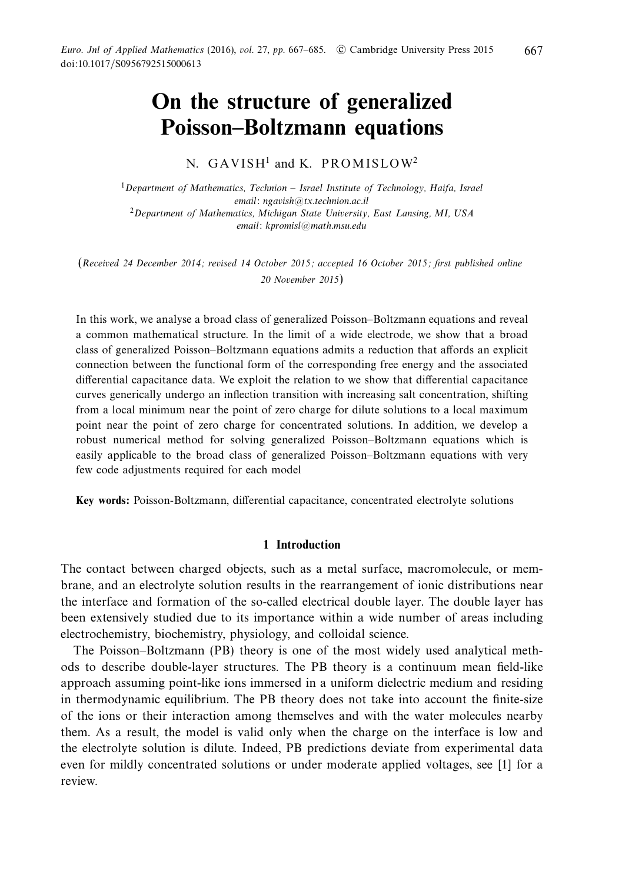# On the structure of generalized Poisson–Boltzmann equations

N. GAVISH<sup>1</sup> and K. PROMISLOW<sup>2</sup>

<sup>1</sup>Department of Mathematics, Technion – Israel Institute of Technology, Haifa, Israel email: ngavish@tx.technion.ac.il <sup>2</sup>Department of Mathematics, Michigan State University, East Lansing, MI, USA email: kpromisl@math.msu.edu

(Received 24 December 2014; revised 14 October 2015; accepted 16 October 2015; first published online 20 November 2015)

In this work, we analyse a broad class of generalized Poisson–Boltzmann equations and reveal a common mathematical structure. In the limit of a wide electrode, we show that a broad class of generalized Poisson–Boltzmann equations admits a reduction that affords an explicit connection between the functional form of the corresponding free energy and the associated differential capacitance data. We exploit the relation to we show that differential capacitance curves generically undergo an inflection transition with increasing salt concentration, shifting from a local minimum near the point of zero charge for dilute solutions to a local maximum point near the point of zero charge for concentrated solutions. In addition, we develop a robust numerical method for solving generalized Poisson–Boltzmann equations which is easily applicable to the broad class of generalized Poisson–Boltzmann equations with very few code adjustments required for each model

Key words: Poisson-Boltzmann, differential capacitance, concentrated electrolyte solutions

#### 1 Introduction

The contact between charged objects, such as a metal surface, macromolecule, or membrane, and an electrolyte solution results in the rearrangement of ionic distributions near the interface and formation of the so-called electrical double layer. The double layer has been extensively studied due to its importance within a wide number of areas including electrochemistry, biochemistry, physiology, and colloidal science.

The Poisson–Boltzmann (PB) theory is one of the most widely used analytical methods to describe double-layer structures. The PB theory is a continuum mean field-like approach assuming point-like ions immersed in a uniform dielectric medium and residing in thermodynamic equilibrium. The PB theory does not take into account the finite-size of the ions or their interaction among themselves and with the water molecules nearby them. As a result, the model is valid only when the charge on the interface is low and the electrolyte solution is dilute. Indeed, PB predictions deviate from experimental data even for mildly concentrated solutions or under moderate applied voltages, see [1] for a review.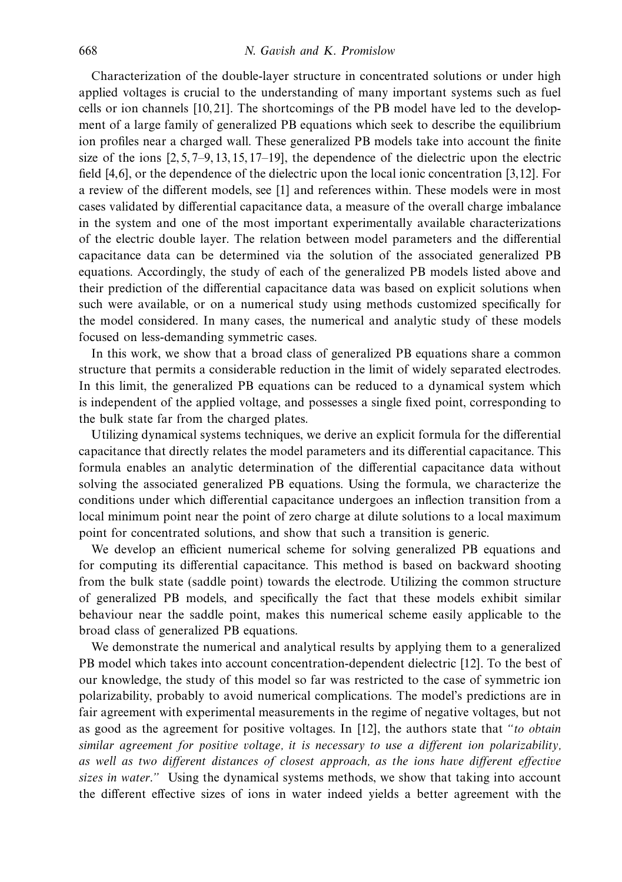Characterization of the double-layer structure in concentrated solutions or under high applied voltages is crucial to the understanding of many important systems such as fuel cells or ion channels [10, 21]. The shortcomings of the PB model have led to the development of a large family of generalized PB equations which seek to describe the equilibrium ion profiles near a charged wall. These generalized PB models take into account the finite size of the ions  $[2, 5, 7-9, 13, 15, 17-19]$ , the dependence of the dielectric upon the electric field [4,6], or the dependence of the dielectric upon the local ionic concentration [3,12]. For a review of the different models, see [1] and references within. These models were in most cases validated by differential capacitance data, a measure of the overall charge imbalance in the system and one of the most important experimentally available characterizations of the electric double layer. The relation between model parameters and the differential capacitance data can be determined via the solution of the associated generalized PB equations. Accordingly, the study of each of the generalized PB models listed above and their prediction of the differential capacitance data was based on explicit solutions when such were available, or on a numerical study using methods customized specifically for the model considered. In many cases, the numerical and analytic study of these models focused on less-demanding symmetric cases.

In this work, we show that a broad class of generalized PB equations share a common structure that permits a considerable reduction in the limit of widely separated electrodes. In this limit, the generalized PB equations can be reduced to a dynamical system which is independent of the applied voltage, and possesses a single fixed point, corresponding to the bulk state far from the charged plates.

Utilizing dynamical systems techniques, we derive an explicit formula for the differential capacitance that directly relates the model parameters and its differential capacitance. This formula enables an analytic determination of the differential capacitance data without solving the associated generalized PB equations. Using the formula, we characterize the conditions under which differential capacitance undergoes an inflection transition from a local minimum point near the point of zero charge at dilute solutions to a local maximum point for concentrated solutions, and show that such a transition is generic.

We develop an efficient numerical scheme for solving generalized PB equations and for computing its differential capacitance. This method is based on backward shooting from the bulk state (saddle point) towards the electrode. Utilizing the common structure of generalized PB models, and specifically the fact that these models exhibit similar behaviour near the saddle point, makes this numerical scheme easily applicable to the broad class of generalized PB equations.

We demonstrate the numerical and analytical results by applying them to a generalized PB model which takes into account concentration-dependent dielectric [12]. To the best of our knowledge, the study of this model so far was restricted to the case of symmetric ion polarizability, probably to avoid numerical complications. The model's predictions are in fair agreement with experimental measurements in the regime of negative voltages, but not as good as the agreement for positive voltages. In [12], the authors state that "to obtain similar agreement for positive voltage, it is necessary to use a different ion polarizability, as well as two different distances of closest approach, as the ions have different effective sizes in water." Using the dynamical systems methods, we show that taking into account the different effective sizes of ions in water indeed yields a better agreement with the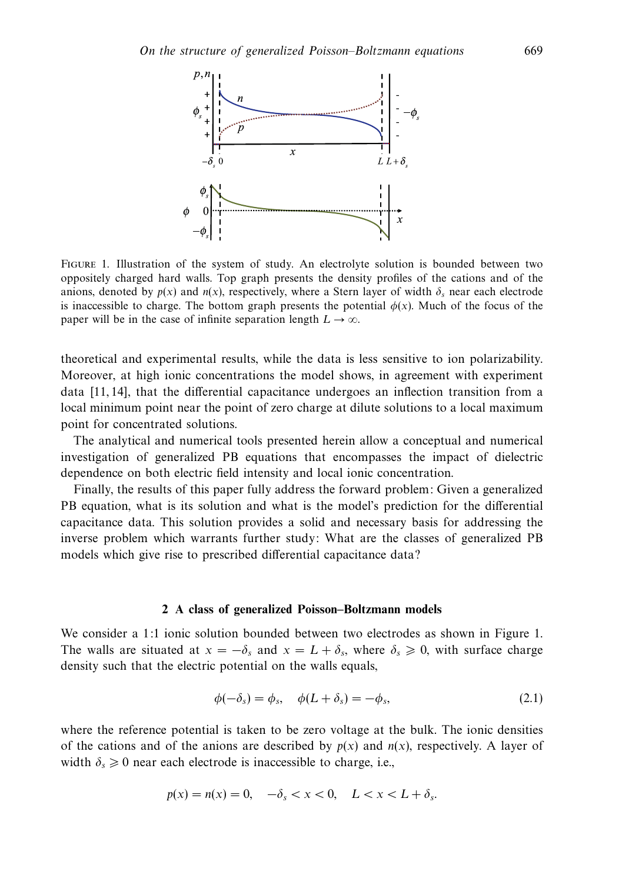

Figure 1. Illustration of the system of study. An electrolyte solution is bounded between two oppositely charged hard walls. Top graph presents the density profiles of the cations and of the anions, denoted by  $p(x)$  and  $n(x)$ , respectively, where a Stern layer of width  $\delta_s$  near each electrode is inaccessible to charge. The bottom graph presents the potential  $\phi(x)$ . Much of the focus of the paper will be in the case of infinite separation length  $L \to \infty$ .

theoretical and experimental results, while the data is less sensitive to ion polarizability. Moreover, at high ionic concentrations the model shows, in agreement with experiment data [11, 14], that the differential capacitance undergoes an inflection transition from a local minimum point near the point of zero charge at dilute solutions to a local maximum point for concentrated solutions.

The analytical and numerical tools presented herein allow a conceptual and numerical investigation of generalized PB equations that encompasses the impact of dielectric dependence on both electric field intensity and local ionic concentration.

Finally, the results of this paper fully address the forward problem: Given a generalized PB equation, what is its solution and what is the model's prediction for the differential capacitance data. This solution provides a solid and necessary basis for addressing the inverse problem which warrants further study: What are the classes of generalized PB models which give rise to prescribed differential capacitance data?

#### 2 A class of generalized Poisson–Boltzmann models

We consider a 1:1 ionic solution bounded between two electrodes as shown in Figure 1. The walls are situated at  $x = -\delta_s$  and  $x = L + \delta_s$ , where  $\delta_s \ge 0$ , with surface charge density such that the electric potential on the walls equals,

$$
\phi(-\delta_s) = \phi_s, \quad \phi(L + \delta_s) = -\phi_s,
$$
\n(2.1)

where the reference potential is taken to be zero voltage at the bulk. The ionic densities of the cations and of the anions are described by  $p(x)$  and  $n(x)$ , respectively. A layer of width  $\delta_s \geq 0$  near each electrode is inaccessible to charge, i.e.,

$$
p(x) = n(x) = 0, \quad -\delta_s < x < 0, \quad L < x < L + \delta_s.
$$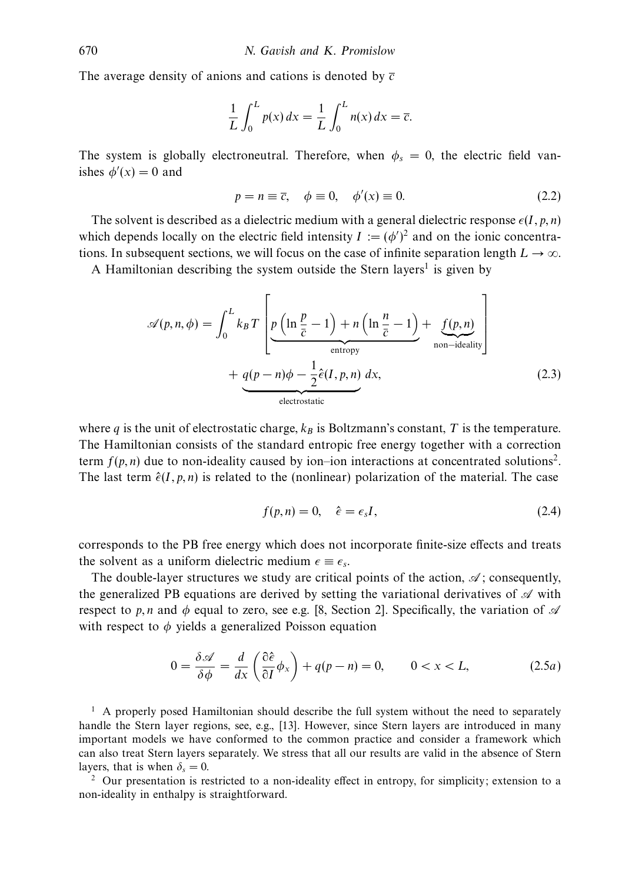The average density of anions and cations is denoted by  $\bar{c}$ 

$$
\frac{1}{L} \int_0^L p(x) dx = \frac{1}{L} \int_0^L n(x) dx = \overline{c}.
$$

The system is globally electroneutral. Therefore, when  $\phi_s = 0$ , the electric field vanishes  $\phi'(x) = 0$  and

$$
p = n \equiv \overline{c}, \quad \phi \equiv 0, \quad \phi'(x) \equiv 0. \tag{2.2}
$$

The solvent is described as a dielectric medium with a general dielectric response  $\epsilon(I, p, n)$ which depends locally on the electric field intensity  $I := (\phi')^2$  and on the ionic concentrations. In subsequent sections, we will focus on the case of infinite separation length  $L \to \infty$ .

A Hamiltonian describing the system outside the Stern layers<sup>1</sup> is given by

$$
\mathscr{A}(p, n, \phi) = \int_0^L k_B T \left[ \underbrace{p \left( \ln \frac{p}{\bar{c}} - 1 \right) + n \left( \ln \frac{n}{\bar{c}} - 1 \right)}_{\text{entropy}} + \underbrace{f(p, n)}_{\text{non-ideality}} \right] + \underbrace{q(p - n)\phi - \frac{1}{2}\hat{\epsilon}(I, p, n) \, dx}_{\text{electrostatic}}, \tag{2.3}
$$

where *q* is the unit of electrostatic charge,  $k_B$  is Boltzmann's constant, *T* is the temperature. The Hamiltonian consists of the standard entropic free energy together with a correction term  $f(p, n)$  due to non-ideality caused by ion–ion interactions at concentrated solutions<sup>2</sup>. The last term  $\hat{\epsilon}(I, p, n)$  is related to the (nonlinear) polarization of the material. The case

$$
f(p,n) = 0, \quad \hat{\epsilon} = \epsilon_s I,\tag{2.4}
$$

corresponds to the PB free energy which does not incorporate finite-size effects and treats the solvent as a uniform dielectric medium  $\epsilon \equiv \epsilon_s$ .

The double-layer structures we study are critical points of the action,  $\mathscr{A}$ ; consequently, the generalized PB equations are derived by setting the variational derivatives of  $\mathcal A$  with respect to p, n and  $\phi$  equal to zero, see e.g. [8, Section 2]. Specifically, the variation of  $\mathscr A$ with respect to  $\phi$  yields a generalized Poisson equation

$$
0 = \frac{\delta \mathcal{A}}{\delta \phi} = \frac{d}{dx} \left( \frac{\partial \hat{e}}{\partial I} \phi_x \right) + q(p - n) = 0, \qquad 0 < x < L,\tag{2.5a}
$$

<sup>1</sup> A properly posed Hamiltonian should describe the full system without the need to separately handle the Stern layer regions, see, e.g., [13]. However, since Stern layers are introduced in many important models we have conformed to the common practice and consider a framework which can also treat Stern layers separately. We stress that all our results are valid in the absence of Stern layers, that is when  $\delta_s = 0$ .

<sup>2</sup> Our presentation is restricted to a non-ideality effect in entropy, for simplicity; extension to a non-ideality in enthalpy is straightforward.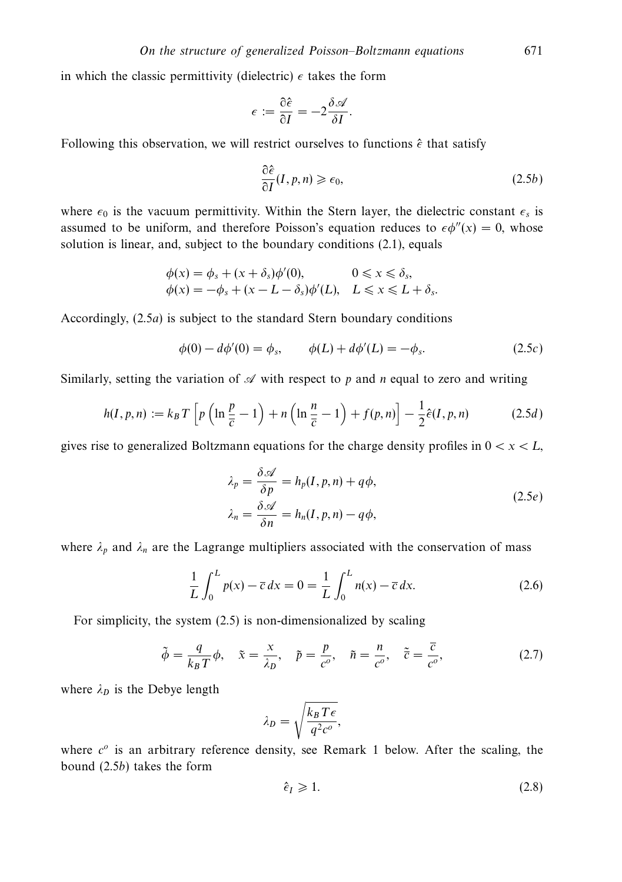in which the classic permittivity (dielectric)  $\epsilon$  takes the form

$$
\epsilon := \frac{\partial \hat{\epsilon}}{\partial I} = -2 \frac{\delta \mathscr{A}}{\delta I}.
$$

Following this observation, we will restrict ourselves to functions  $\hat{\epsilon}$  that satisfy

$$
\frac{\partial \hat{\epsilon}}{\partial I}(I, p, n) \ge \epsilon_0,\tag{2.5b}
$$

where  $\epsilon_0$  is the vacuum permittivity. Within the Stern layer, the dielectric constant  $\epsilon_s$  is assumed to be uniform, and therefore Poisson's equation reduces to  $\epsilon \phi''(x) = 0$ , whose solution is linear, and, subject to the boundary conditions (2.1), equals

$$
\begin{aligned}\n\phi(x) &= \phi_s + (x + \delta_s)\phi'(0), & 0 \le x \le \delta_s, \\
\phi(x) &= -\phi_s + (x - L - \delta_s)\phi'(L), & L \le x \le L + \delta_s.\n\end{aligned}
$$

Accordingly, (2.5a) is subject to the standard Stern boundary conditions

$$
\phi(0) - d\phi'(0) = \phi_s, \qquad \phi(L) + d\phi'(L) = -\phi_s.
$$
 (2.5c)

Similarly, setting the variation of  $\mathscr A$  with respect to p and n equal to zero and writing

$$
h(I, p, n) := k_B T \left[ p \left( \ln \frac{p}{\overline{c}} - 1 \right) + n \left( \ln \frac{n}{\overline{c}} - 1 \right) + f(p, n) \right] - \frac{1}{2} \hat{\epsilon}(I, p, n) \tag{2.5d}
$$

gives rise to generalized Boltzmann equations for the charge density profiles in  $0 < x < L$ ,

$$
\lambda_p = \frac{\delta \mathscr{A}}{\delta p} = h_p(I, p, n) + q\phi,
$$
  
\n
$$
\lambda_n = \frac{\delta \mathscr{A}}{\delta n} = h_n(I, p, n) - q\phi,
$$
\n(2.5*e*)

where  $\lambda_p$  and  $\lambda_n$  are the Lagrange multipliers associated with the conservation of mass

$$
\frac{1}{L} \int_0^L p(x) - \overline{c} \, dx = 0 = \frac{1}{L} \int_0^L n(x) - \overline{c} \, dx. \tag{2.6}
$$

For simplicity, the system (2.5) is non-dimensionalized by scaling

$$
\tilde{\phi} = \frac{q}{k_B T} \phi, \quad \tilde{x} = \frac{x}{\lambda_D}, \quad \tilde{p} = \frac{p}{c^o}, \quad \tilde{n} = \frac{n}{c^o}, \quad \tilde{\bar{c}} = \frac{\bar{c}}{c^o}, \tag{2.7}
$$

where  $\lambda_D$  is the Debye length

$$
\lambda_D = \sqrt{\frac{k_B T \epsilon}{q^2 c^o}},
$$

where *c*<sup>o</sup> is an arbitrary reference density, see Remark 1 below. After the scaling, the bound (2.5b) takes the form

$$
\hat{\epsilon}_I \geqslant 1. \tag{2.8}
$$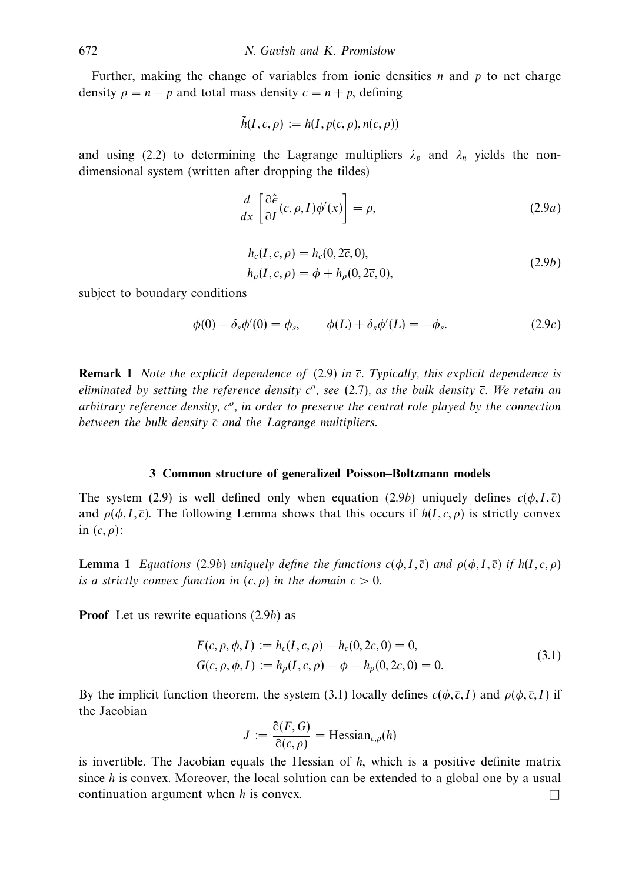Further, making the change of variables from ionic densities *n* and *p* to net charge density  $\rho = n - p$  and total mass density  $c = n + p$ , defining

$$
\tilde{h}(I,c,\rho) := h(I,p(c,\rho),n(c,\rho))
$$

and using (2.2) to determining the Lagrange multipliers  $\lambda_p$  and  $\lambda_n$  yields the nondimensional system (written after dropping the tildes)

$$
\frac{d}{dx}\left[\frac{\partial\hat{\epsilon}}{\partial I}(c,\rho,I)\phi'(x)\right] = \rho,\tag{2.9a}
$$

$$
h_c(I, c, \rho) = h_c(0, 2\overline{c}, 0),
$$
  
\n
$$
h_{\rho}(I, c, \rho) = \phi + h_{\rho}(0, 2\overline{c}, 0),
$$
\n(2.9b)

subject to boundary conditions

$$
\phi(0) - \delta_s \phi'(0) = \phi_s, \qquad \phi(L) + \delta_s \phi'(L) = -\phi_s. \tag{2.9c}
$$

Remark 1 Note the explicit dependence of (2.9) in *c*. Typically, this explicit dependence is eliminated by setting the reference density  $c^o$ , see (2.7), as the bulk density  $\bar{c}$ . We retain an arbitrary reference density,  $c<sup>o</sup>$ , in order to preserve the central role played by the connection between the bulk density  $\bar{c}$  and the Lagrange multipliers.

# 3 Common structure of generalized Poisson–Boltzmann models

The system (2.9) is well defined only when equation (2.9b) uniquely defines  $c(\phi, I, \bar{c})$ and  $\rho(\phi, I, \bar{c})$ . The following Lemma shows that this occurs if  $h(I, c, \rho)$  is strictly convex in  $(c, \rho)$ :

**Lemma 1** Equations (2.9b) uniquely define the functions  $c(\phi, I, \overline{c})$  and  $\rho(\phi, I, \overline{c})$  if  $h(I, c, \rho)$ is a strictly convex function in  $(c, \rho)$  in the domain  $c > 0$ .

**Proof** Let us rewrite equations (2.9b) as

$$
F(c, \rho, \phi, I) := h_c(I, c, \rho) - h_c(0, 2\overline{c}, 0) = 0,
$$
  
\n
$$
G(c, \rho, \phi, I) := h_\rho(I, c, \rho) - \phi - h_\rho(0, 2\overline{c}, 0) = 0.
$$
\n(3.1)

By the implicit function theorem, the system (3.1) locally defines  $c(\phi, \bar{c}, I)$  and  $\rho(\phi, \bar{c}, I)$  if the Jacobian

$$
J := \frac{\partial(F, G)}{\partial(c, \rho)} = \text{Hessian}_{c, \rho}(h)
$$

is invertible. The Jacobian equals the Hessian of *h*, which is a positive definite matrix since *h* is convex. Moreover, the local solution can be extended to a global one by a usual continuation argument when *h* is convex.  $\Box$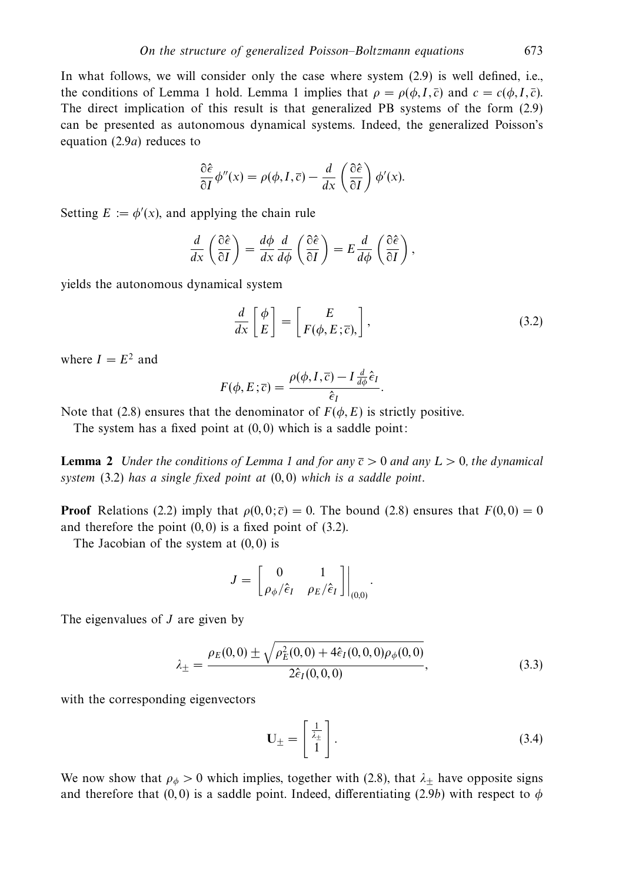In what follows, we will consider only the case where system  $(2.9)$  is well defined, i.e., the conditions of Lemma 1 hold. Lemma 1 implies that  $\rho = \rho(\phi, I, \bar{c})$  and  $c = c(\phi, I, \bar{c})$ . The direct implication of this result is that generalized PB systems of the form (2.9) can be presented as autonomous dynamical systems. Indeed, the generalized Poisson's equation (2.9a) reduces to

$$
\frac{\partial \hat{\epsilon}}{\partial I} \phi''(x) = \rho(\phi, I, \overline{c}) - \frac{d}{dx} \left( \frac{\partial \hat{\epsilon}}{\partial I} \right) \phi'(x).
$$

Setting  $E := \phi'(x)$ , and applying the chain rule

$$
\frac{d}{dx}\left(\frac{\partial\hat{\epsilon}}{\partial I}\right) = \frac{d\phi}{dx}\frac{d}{d\phi}\left(\frac{\partial\hat{\epsilon}}{\partial I}\right) = E\frac{d}{d\phi}\left(\frac{\partial\hat{\epsilon}}{\partial I}\right),\,
$$

yields the autonomous dynamical system

$$
\frac{d}{dx}\begin{bmatrix} \phi \\ E \end{bmatrix} = \begin{bmatrix} E \\ F(\phi, E; \overline{c}), \end{bmatrix},\tag{3.2}
$$

where  $I = E^2$  and

$$
F(\phi, E; \overline{c}) = \frac{\rho(\phi, I, \overline{c}) - I \frac{d}{d\phi} \hat{\epsilon}_I}{\hat{\epsilon}_I}.
$$

Note that (2.8) ensures that the denominator of  $F(\phi, E)$  is strictly positive.

The system has a fixed point at (0*,* 0) which is a saddle point:

**Lemma 2** Under the conditions of Lemma 1 and for any  $\bar{c} > 0$  and any  $L > 0$ , the dynamical system (3.2) has a single fixed point at (0*,* 0) which is a saddle point.

**Proof** Relations (2.2) imply that  $\rho(0,0;\bar{c}) = 0$ . The bound (2.8) ensures that  $F(0,0) = 0$ and therefore the point (0*,* 0) is a fixed point of (3.2).

The Jacobian of the system at (0*,* 0) is

$$
J = \begin{bmatrix} 0 & 1 \\ \rho_{\phi}/\hat{\epsilon}_I & \rho_E/\hat{\epsilon}_I \end{bmatrix}\Big|_{(0,0)}
$$

The eigenvalues of *J* are given by

$$
\lambda_{\pm} = \frac{\rho_E(0,0) \pm \sqrt{\rho_E^2(0,0) + 4\hat{\epsilon}_I(0,0,0)\rho_\phi(0,0)}}{2\hat{\epsilon}_I(0,0,0)},
$$
\n(3.3)

*.*

with the corresponding eigenvectors

$$
\mathbf{U}_{\pm} = \begin{bmatrix} \frac{1}{\lambda_{\pm}} \\ 1 \end{bmatrix} . \tag{3.4}
$$

We now show that  $\rho_{\phi} > 0$  which implies, together with (2.8), that  $\lambda_{\pm}$  have opposite signs and therefore that (0,0) is a saddle point. Indeed, differentiating (2.9b) with respect to  $\phi$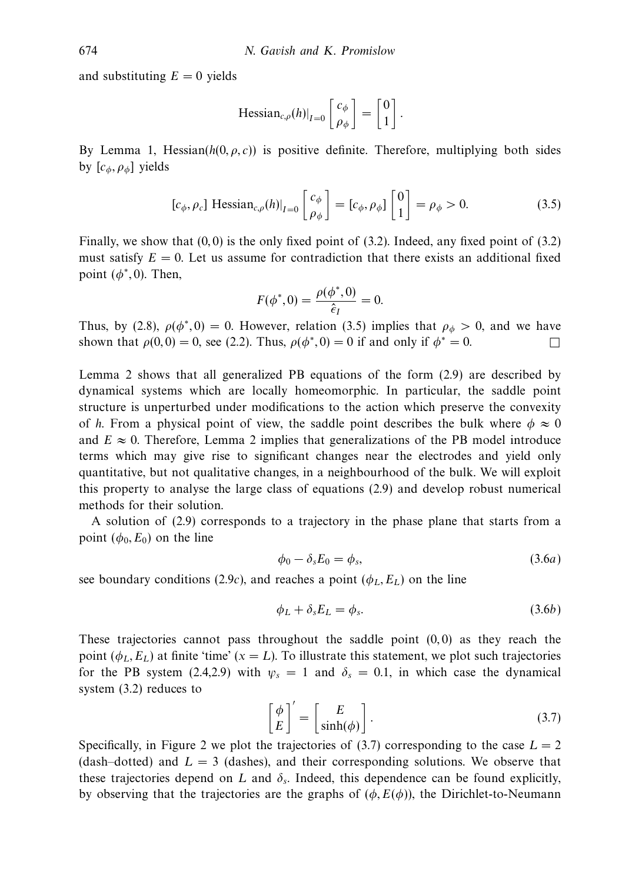and substituting  $E = 0$  yields

$$
\text{Hessian}_{c,\rho}(h)|_{I=0}\begin{bmatrix}c_{\phi}\\ \rho_{\phi}\end{bmatrix}=\begin{bmatrix}0\\1\end{bmatrix}.
$$

By Lemma 1, Hessian( $h(0, \rho, c)$ ) is positive definite. Therefore, multiplying both sides by  $[c_{\phi}, \rho_{\phi}]$  yields

$$
[c_{\phi}, \rho_c] \text{ Hessian}_{c,\rho}(h)|_{I=0} \begin{bmatrix} c_{\phi} \\ \rho_{\phi} \end{bmatrix} = [c_{\phi}, \rho_{\phi}] \begin{bmatrix} 0 \\ 1 \end{bmatrix} = \rho_{\phi} > 0. \tag{3.5}
$$

Finally, we show that  $(0,0)$  is the only fixed point of  $(3.2)$ . Indeed, any fixed point of  $(3.2)$ must satisfy  $E = 0$ . Let us assume for contradiction that there exists an additional fixed point  $(\phi^*, 0)$ . Then,

$$
F(\phi^*, 0) = \frac{\rho(\phi^*, 0)}{\hat{\epsilon}_I} = 0.
$$

Thus, by (2.8),  $\rho(\phi^*, 0) = 0$ . However, relation (3.5) implies that  $\rho_{\phi} > 0$ , and we have shown that  $\rho(0,0) = 0$ , see (2.2). Thus,  $\rho(\phi^*,0) = 0$  if and only if  $\phi^* = 0$ .

Lemma 2 shows that all generalized PB equations of the form (2.9) are described by dynamical systems which are locally homeomorphic. In particular, the saddle point structure is unperturbed under modifications to the action which preserve the convexity of *h*. From a physical point of view, the saddle point describes the bulk where  $\phi \approx 0$ and  $E \approx 0$ . Therefore, Lemma 2 implies that generalizations of the PB model introduce terms which may give rise to significant changes near the electrodes and yield only quantitative, but not qualitative changes, in a neighbourhood of the bulk. We will exploit this property to analyse the large class of equations (2.9) and develop robust numerical methods for their solution.

A solution of (2.9) corresponds to a trajectory in the phase plane that starts from a point  $(\phi_0, E_0)$  on the line

$$
\phi_0 - \delta_s E_0 = \phi_s,\tag{3.6a}
$$

see boundary conditions (2.9*c*), and reaches a point  $(\phi_L, E_L)$  on the line

$$
\phi_L + \delta_s E_L = \phi_s. \tag{3.6b}
$$

These trajectories cannot pass throughout the saddle point (0*,* 0) as they reach the point  $(\phi_L, E_L)$  at finite 'time' ( $x = L$ ). To illustrate this statement, we plot such trajectories for the PB system (2.4,2.9) with  $\psi_s = 1$  and  $\delta_s = 0.1$ , in which case the dynamical system (3.2) reduces to

$$
\begin{bmatrix} \phi \\ E \end{bmatrix}' = \begin{bmatrix} E \\ \sinh(\phi) \end{bmatrix}.
$$
 (3.7)

Specifically, in Figure 2 we plot the trajectories of  $(3.7)$  corresponding to the case  $L = 2$ (dash–dotted) and  $L = 3$  (dashes), and their corresponding solutions. We observe that these trajectories depend on  $L$  and  $\delta_s$ . Indeed, this dependence can be found explicitly, by observing that the trajectories are the graphs of  $(\phi, E(\phi))$ , the Dirichlet-to-Neumann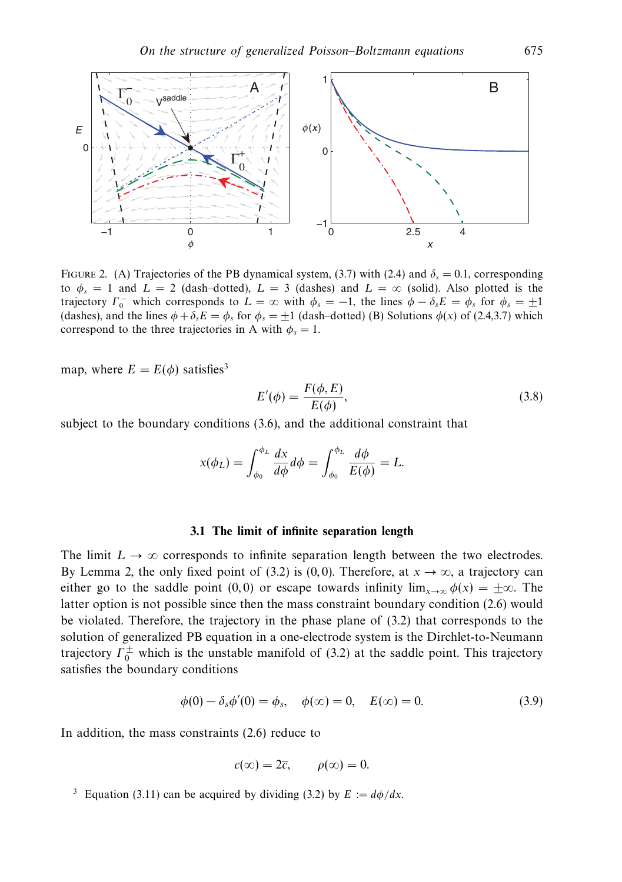

FIGURE 2. (A) Trajectories of the PB dynamical system, (3.7) with (2.4) and  $\delta_s = 0.1$ , corresponding to  $\phi_s = 1$  and  $L = 2$  (dash-dotted),  $L = 3$  (dashes) and  $L = \infty$  (solid). Also plotted is the trajectory  $\Gamma_0^-$  which corresponds to  $L = \infty$  with  $\phi_s = -1$ , the lines  $\phi - \delta_s E = \phi_s$  for  $\phi_s = \pm 1$ (dashes), and the lines  $\phi + \delta_s E = \phi_s$  for  $\phi_s = \pm 1$  (dash–dotted) (B) Solutions  $\phi(x)$  of (2.4,3.7) which correspond to the three trajectories in A with  $\phi_s = 1$ .

map, where  $E = E(\phi)$  satisfies<sup>3</sup>

$$
E'(\phi) = \frac{F(\phi, E)}{E(\phi)},
$$
\n(3.8)

subject to the boundary conditions (3.6), and the additional constraint that

$$
x(\phi_L) = \int_{\phi_0}^{\phi_L} \frac{dx}{d\phi} d\phi = \int_{\phi_0}^{\phi_L} \frac{d\phi}{E(\phi)} = L.
$$

# 3.1 The limit of infinite separation length

The limit  $L \to \infty$  corresponds to infinite separation length between the two electrodes. By Lemma 2, the only fixed point of (3.2) is (0,0). Therefore, at  $x \to \infty$ , a trajectory can either go to the saddle point (0,0) or escape towards infinity  $\lim_{x\to\infty} \phi(x) = \pm \infty$ . The latter option is not possible since then the mass constraint boundary condition (2.6) would be violated. Therefore, the trajectory in the phase plane of (3.2) that corresponds to the solution of generalized PB equation in a one-electrode system is the Dirchlet-to-Neumann trajectory  $\Gamma_0^{\pm}$  which is the unstable manifold of (3.2) at the saddle point. This trajectory satisfies the boundary conditions

$$
\phi(0) - \delta_s \phi'(0) = \phi_s, \quad \phi(\infty) = 0, \quad E(\infty) = 0.
$$
\n(3.9)

In addition, the mass constraints (2.6) reduce to

$$
c(\infty) = 2\overline{c}, \qquad \rho(\infty) = 0.
$$

<sup>3</sup> Equation (3.11) can be acquired by dividing (3.2) by  $E := d\phi/dx$ .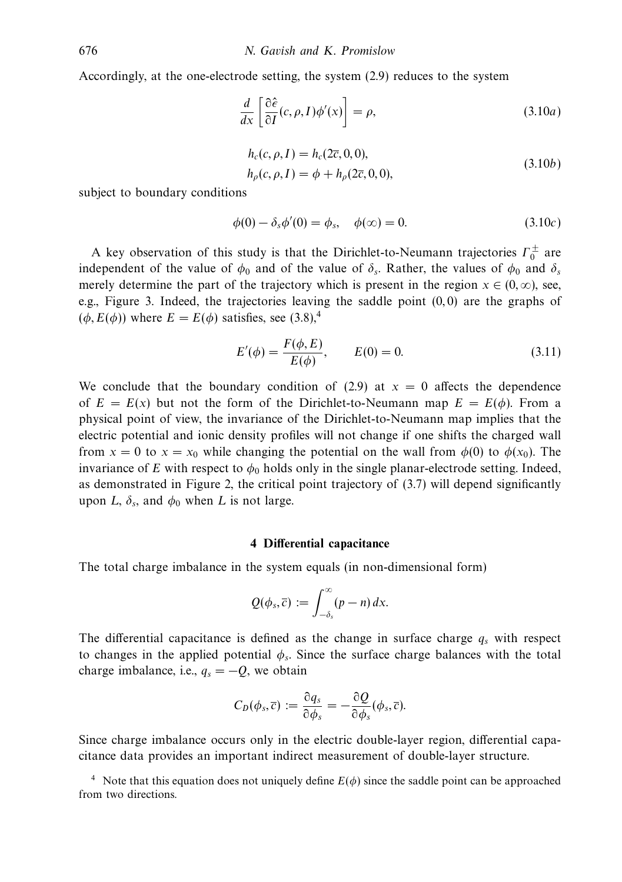Accordingly, at the one-electrode setting, the system (2.9) reduces to the system

$$
\frac{d}{dx}\left[\frac{\partial\hat{\epsilon}}{\partial I}(c,\rho,I)\phi'(x)\right] = \rho,\tag{3.10a}
$$

$$
h_c(c, \rho, I) = h_c(2\overline{c}, 0, 0),
$$
  
\n
$$
h_{\rho}(c, \rho, I) = \phi + h_{\rho}(2\overline{c}, 0, 0),
$$
\n(3.10b)

subject to boundary conditions

$$
\phi(0) - \delta_s \phi'(0) = \phi_s, \quad \phi(\infty) = 0. \tag{3.10c}
$$

A key observation of this study is that the Dirichlet-to-Neumann trajectories  $\Gamma_0^{\pm}$  are independent of the value of  $\phi_0$  and of the value of  $\delta_s$ . Rather, the values of  $\phi_0$  and  $\delta_s$ merely determine the part of the trajectory which is present in the region  $x \in (0, \infty)$ , see, e.g., Figure 3. Indeed, the trajectories leaving the saddle point (0*,* 0) are the graphs of  $(\phi, E(\phi))$  where  $E = E(\phi)$  satisfies, see (3.8),<sup>4</sup>

$$
E'(\phi) = \frac{F(\phi, E)}{E(\phi)}, \qquad E(0) = 0.
$$
 (3.11)

We conclude that the boundary condition of  $(2.9)$  at  $x = 0$  affects the dependence of  $E = E(x)$  but not the form of the Dirichlet-to-Neumann map  $E = E(\phi)$ . From a physical point of view, the invariance of the Dirichlet-to-Neumann map implies that the electric potential and ionic density profiles will not change if one shifts the charged wall from  $x = 0$  to  $x = x_0$  while changing the potential on the wall from  $\phi(0)$  to  $\phi(x_0)$ . The invariance of *E* with respect to  $\phi_0$  holds only in the single planar-electrode setting. Indeed, as demonstrated in Figure 2, the critical point trajectory of (3.7) will depend significantly upon *L*,  $\delta_s$ , and  $\phi_0$  when *L* is not large.

#### 4 Differential capacitance

The total charge imbalance in the system equals (in non-dimensional form)

$$
Q(\phi_s, \overline{c}) := \int_{-\delta_s}^{\infty} (p - n) dx.
$$

The differential capacitance is defined as the change in surface charge  $q_s$  with respect to changes in the applied potential  $\phi_s$ . Since the surface charge balances with the total charge imbalance, i.e.,  $q_s = -Q$ , we obtain

$$
C_D(\phi_s, \overline{c}) := \frac{\partial q_s}{\partial \phi_s} = -\frac{\partial Q}{\partial \phi_s}(\phi_s, \overline{c}).
$$

Since charge imbalance occurs only in the electric double-layer region, differential capacitance data provides an important indirect measurement of double-layer structure.

<sup>4</sup> Note that this equation does not uniquely define  $E(\phi)$  since the saddle point can be approached from two directions.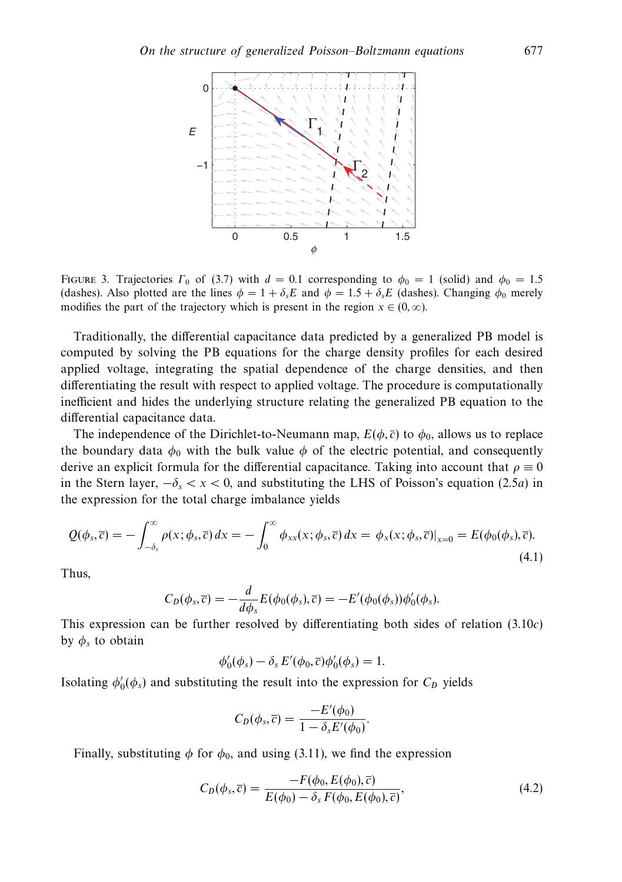

FIGURE 3. Trajectories  $\Gamma_0$  of (3.7) with  $d = 0.1$  corresponding to  $\phi_0 = 1$  (solid) and  $\phi_0 = 1.5$ (dashes). Also plotted are the lines  $\phi = 1 + \delta_s E$  and  $\phi = 1.5 + \delta_s E$  (dashes). Changing  $\phi_0$  merely modifies the part of the trajectory which is present in the region  $x \in (0, \infty)$ .

Traditionally, the differential capacitance data predicted by a generalized PB model is computed by solving the PB equations for the charge density profiles for each desired applied voltage, integrating the spatial dependence of the charge densities, and then differentiating the result with respect to applied voltage. The procedure is computationally inefficient and hides the underlying structure relating the generalized PB equation to the differential capacitance data.

The independence of the Dirichlet-to-Neumann map,  $E(\phi, \bar{c})$  to  $\phi_0$ , allows us to replace the boundary data  $\phi_0$  with the bulk value  $\phi$  of the electric potential, and consequently derive an explicit formula for the differential capacitance. Taking into account that  $\rho \equiv 0$ in the Stern layer,  $-\delta_s < x < 0$ , and substituting the LHS of Poisson's equation (2.5*a*) in the expression for the total charge imbalance yields

$$
Q(\phi_s, \overline{c}) = -\int_{-\delta_s}^{\infty} \rho(x; \phi_s, \overline{c}) dx = -\int_0^{\infty} \phi_{xx}(x; \phi_s, \overline{c}) dx = \phi_x(x; \phi_s, \overline{c})|_{x=0} = E(\phi_0(\phi_s), \overline{c}).
$$
\n(4.1)

Thus,

$$
C_D(\phi_s, \overline{c}) = -\frac{d}{d\phi_s} E(\phi_0(\phi_s), \overline{c}) = -E'(\phi_0(\phi_s))\phi'_0(\phi_s).
$$

This expression can be further resolved by differentiating both sides of relation  $(3.10c)$ by  $\phi_s$  to obtain

$$
\phi_0'(\phi_s) - \delta_s E'(\phi_0, \overline{c}) \phi_0'(\phi_s) = 1.
$$

Isolating  $\phi'_0(\phi_s)$  and substituting the result into the expression for  $C_D$  yields

$$
C_D(\phi_s, \overline{c}) = \frac{-E'(\phi_0)}{1 - \delta_s E'(\phi_0)}.
$$

Finally, substituting  $\phi$  for  $\phi_0$ , and using (3.11), we find the expression

$$
C_D(\phi_s, \bar{c}) = \frac{-F(\phi_0, E(\phi_0), \bar{c})}{E(\phi_0) - \delta_s F(\phi_0, E(\phi_0), \bar{c})},
$$
\n(4.2)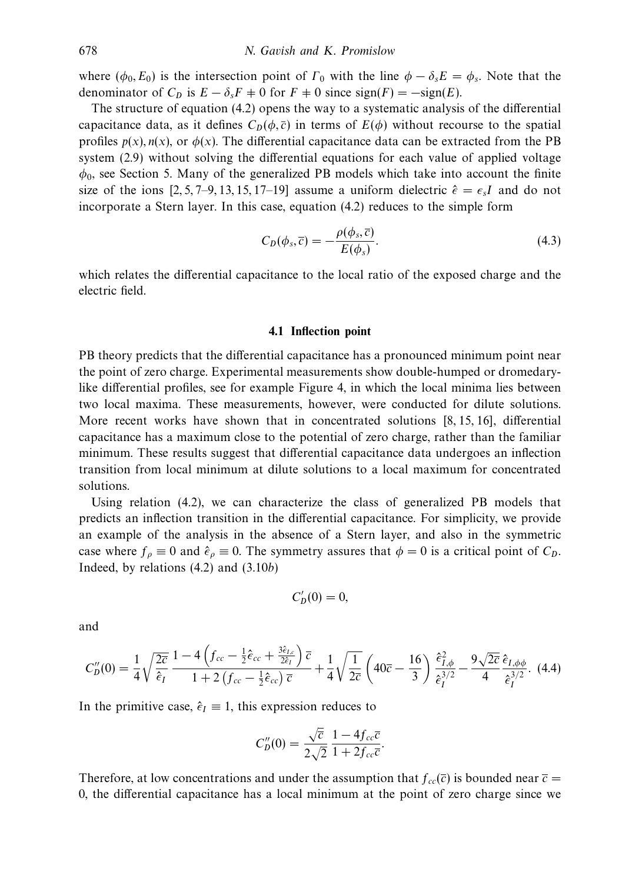where  $(\phi_0, E_0)$  is the intersection point of  $\Gamma_0$  with the line  $\phi - \delta_{\delta}E = \phi_{\delta}$ . Note that the denominator of  $C_D$  is  $E - \delta_s F + 0$  for  $F + 0$  since sign( $F$ ) =  $-\text{sign}(E)$ .

The structure of equation (4.2) opens the way to a systematic analysis of the differential capacitance data, as it defines  $C_D(\phi, \bar{c})$  in terms of  $E(\phi)$  without recourse to the spatial profiles  $p(x)$ ,  $n(x)$ , or  $\phi(x)$ . The differential capacitance data can be extracted from the PB system (2.9) without solving the differential equations for each value of applied voltage  $\phi_0$ , see Section 5. Many of the generalized PB models which take into account the finite size of the ions  $[2, 5, 7-9, 13, 15, 17-19]$  assume a uniform dielectric  $\hat{\epsilon} = \epsilon_s I$  and do not incorporate a Stern layer. In this case, equation (4.2) reduces to the simple form

$$
C_D(\phi_s, \overline{c}) = -\frac{\rho(\phi_s, \overline{c})}{E(\phi_s)}.
$$
\n(4.3)

which relates the differential capacitance to the local ratio of the exposed charge and the electric field.

#### 4.1 Inflection point

PB theory predicts that the differential capacitance has a pronounced minimum point near the point of zero charge. Experimental measurements show double-humped or dromedarylike differential profiles, see for example Figure 4, in which the local minima lies between two local maxima. These measurements, however, were conducted for dilute solutions. More recent works have shown that in concentrated solutions [8, 15, 16], differential capacitance has a maximum close to the potential of zero charge, rather than the familiar minimum. These results suggest that differential capacitance data undergoes an inflection transition from local minimum at dilute solutions to a local maximum for concentrated solutions.

Using relation (4.2), we can characterize the class of generalized PB models that predicts an inflection transition in the differential capacitance. For simplicity, we provide an example of the analysis in the absence of a Stern layer, and also in the symmetric case where  $f_{\rho} \equiv 0$  and  $\hat{\epsilon}_{\rho} \equiv 0$ . The symmetry assures that  $\phi = 0$  is a critical point of  $C_D$ . Indeed, by relations (4.2) and (3.10b)

$$
C'_D(0)=0,
$$

and

$$
C''_D(0) = \frac{1}{4} \sqrt{\frac{2\overline{c}}{\hat{\epsilon}_I}} \frac{1 - 4\left(f_{cc} - \frac{1}{2}\hat{\epsilon}_{cc} + \frac{3\hat{\epsilon}_{I,c}}{2\hat{\epsilon}_I}\right)\overline{c}}{1 + 2\left(f_{cc} - \frac{1}{2}\hat{\epsilon}_{cc}\right)\overline{c}} + \frac{1}{4} \sqrt{\frac{1}{2\overline{c}}} \left(40\overline{c} - \frac{16}{3}\right) \frac{\hat{\epsilon}_{I,\phi}^2}{\hat{\epsilon}_I^{3/2}} - \frac{9\sqrt{2\overline{c}}}{4} \frac{\hat{\epsilon}_{I,\phi\phi}}{\hat{\epsilon}_I^{3/2}}.\tag{4.4}
$$

In the primitive case,  $\hat{\epsilon}_I \equiv 1$ , this expression reduces to

$$
C''_D(0) = \frac{\sqrt{\bar{c}}}{2\sqrt{2}} \frac{1 - 4f_{cc}\bar{c}}{1 + 2f_{cc}\bar{c}}.
$$

Therefore, at low concentrations and under the assumption that  $f_{cc}(\bar{c})$  is bounded near  $\bar{c}$  = 0, the differential capacitance has a local minimum at the point of zero charge since we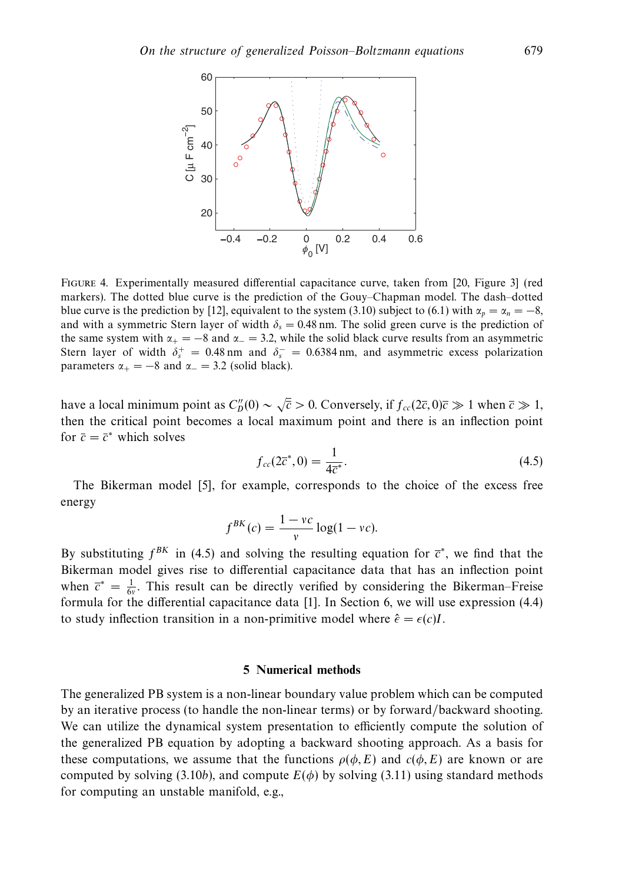

Figure 4. Experimentally measured differential capacitance curve, taken from [20, Figure 3] (red markers). The dotted blue curve is the prediction of the Gouy–Chapman model. The dash–dotted blue curve is the prediction by [12], equivalent to the system (3.10) subject to (6.1) with  $\alpha_p = \alpha_n = -8$ , and with a symmetric Stern layer of width  $\delta_s = 0.48$  nm. The solid green curve is the prediction of the same system with  $\alpha_+ = -8$  and  $\alpha_- = 3.2$ , while the solid black curve results from an asymmetric Stern layer of width  $\delta_s^+ = 0.48$  nm and  $\delta_s^- = 0.6384$  nm, and asymmetric excess polarization parameters  $\alpha_+ = -8$  and  $\alpha_- = 3.2$  (solid black).

have a local minimum point as  $C''_D(0) \sim \sqrt{\overline{c}} > 0$ . Conversely, if  $f_{cc}(2\overline{c}, 0)\overline{c} \gg 1$  when  $\overline{c} \gg 1$ , then the critical point becomes a local maximum point and there is an inflection point for  $\bar{c} = \bar{c}^*$  which solves

$$
f_{cc}(2\overline{c}^*,0) = \frac{1}{4\overline{c}^*}.
$$
\n(4.5)

The Bikerman model [5], for example, corresponds to the choice of the excess free energy

$$
f^{BK}(c) = \frac{1 - vc}{v} \log(1 - vc).
$$

By substituting  $f^{BK}$  in (4.5) and solving the resulting equation for  $\bar{c}^*$ , we find that the Bikerman model gives rise to differential capacitance data that has an inflection point when  $\bar{c}^* = \frac{1}{6v}$ . This result can be directly verified by considering the Bikerman–Freise formula for the differential capacitance data [1]. In Section 6, we will use expression (4.4) to study inflection transition in a non-primitive model where  $\hat{\epsilon} = \epsilon(c)I$ .

## 5 Numerical methods

The generalized PB system is a non-linear boundary value problem which can be computed by an iterative process (to handle the non-linear terms) or by forward/backward shooting. We can utilize the dynamical system presentation to efficiently compute the solution of the generalized PB equation by adopting a backward shooting approach. As a basis for these computations, we assume that the functions  $\rho(\phi, E)$  and  $c(\phi, E)$  are known or are computed by solving (3.10*b*), and compute  $E(\phi)$  by solving (3.11) using standard methods for computing an unstable manifold, e.g.,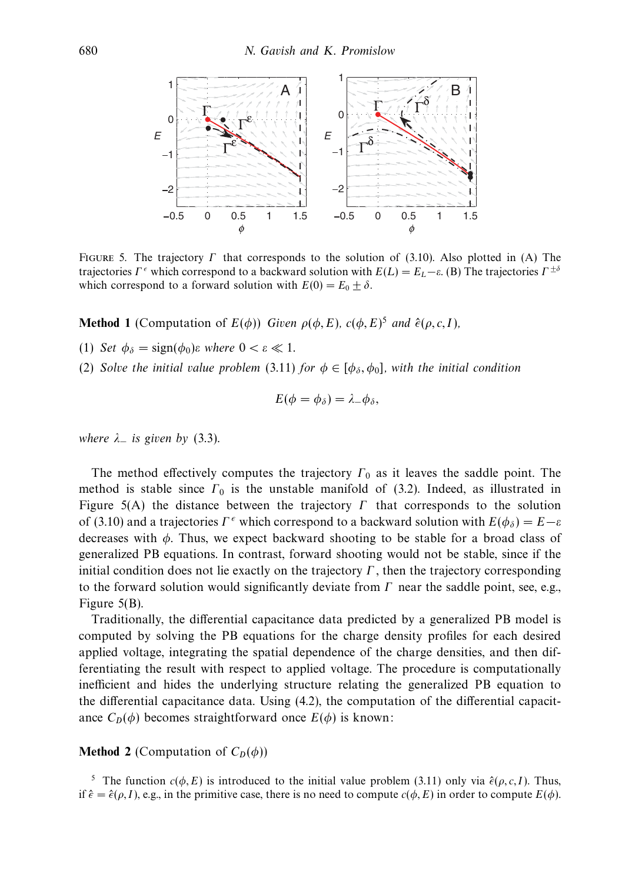

FIGURE 5. The trajectory  $\Gamma$  that corresponds to the solution of (3.10). Also plotted in (A) The trajectories  $\Gamma^{\epsilon}$  which correspond to a backward solution with  $E(L) = E_L - \varepsilon$ . (B) The trajectories  $\Gamma^{\pm \delta}$ which correspond to a forward solution with  $E(0) = E_0 \pm \delta$ .

**Method 1** (Computation of  $E(\phi)$ ) Given  $\rho(\phi, E)$ ,  $c(\phi, E)^5$  and  $\hat{\epsilon}(\rho, c, I)$ ,

- (1) Set  $\phi_{\delta} = \text{sign}(\phi_0) \varepsilon$  where  $0 < \varepsilon \ll 1$ .
- (2) Solve the initial value problem (3.11) for  $\phi \in [\phi_{\delta}, \phi_0]$ , with the initial condition

$$
E(\phi=\phi_{\delta})=\lambda_{-}\phi_{\delta},
$$

where  $\lambda$ <sub>-</sub> is given by (3.3).

The method effectively computes the trajectory  $\Gamma_0$  as it leaves the saddle point. The method is stable since  $\Gamma_0$  is the unstable manifold of (3.2). Indeed, as illustrated in Figure 5(A) the distance between the trajectory  $\Gamma$  that corresponds to the solution of (3.10) and a trajectories  $\Gamma^{\epsilon}$  which correspond to a backward solution with  $E(\phi_{\delta}) = E - \epsilon$ decreases with  $\phi$ . Thus, we expect backward shooting to be stable for a broad class of generalized PB equations. In contrast, forward shooting would not be stable, since if the initial condition does not lie exactly on the trajectory  $\Gamma$ , then the trajectory corresponding to the forward solution would significantly deviate from  $\Gamma$  near the saddle point, see, e.g., Figure 5(B).

Traditionally, the differential capacitance data predicted by a generalized PB model is computed by solving the PB equations for the charge density profiles for each desired applied voltage, integrating the spatial dependence of the charge densities, and then differentiating the result with respect to applied voltage. The procedure is computationally inefficient and hides the underlying structure relating the generalized PB equation to the differential capacitance data. Using (4.2), the computation of the differential capacitance  $C_D(\phi)$  becomes straightforward once  $E(\phi)$  is known:

# **Method 2** (Computation of  $C_D(\phi)$ )

<sup>5</sup> The function  $c(\phi, E)$  is introduced to the initial value problem (3.11) only via  $\hat{\epsilon}(\rho, c, I)$ . Thus, if  $\hat{\epsilon} = \hat{\epsilon}(\rho, I)$ , e.g., in the primitive case, there is no need to compute  $c(\phi, E)$  in order to compute  $E(\phi)$ .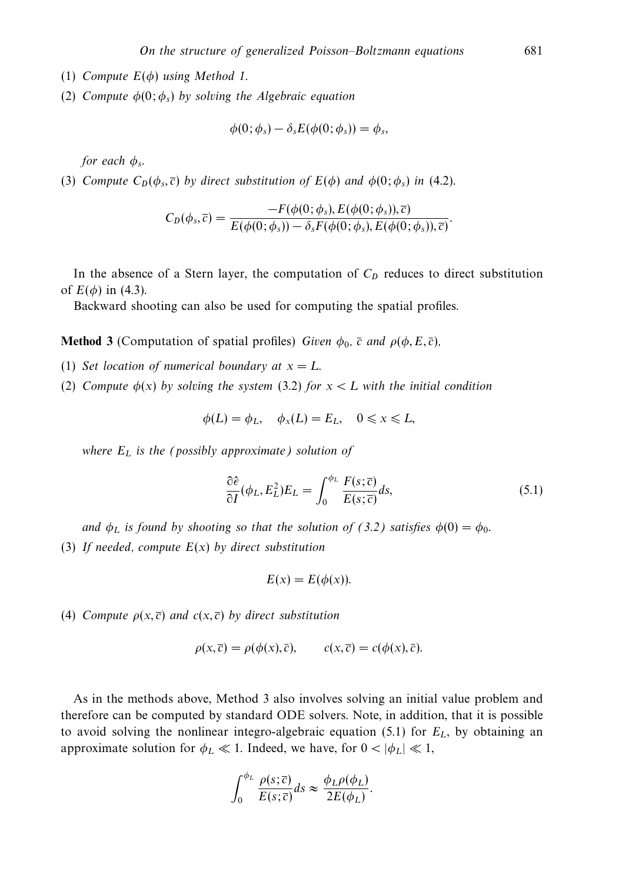- (1) Compute  $E(\phi)$  using Method 1.
- (2) Compute  $\phi(0;\phi_s)$  by solving the Algebraic equation

$$
\phi(0;\phi_s)-\delta_s E(\phi(0;\phi_s))=\phi_s,
$$

*for each*  $\phi_s$ .

(3) Compute  $C_D(\phi_s, \overline{c})$  by direct substitution of  $E(\phi)$  and  $\phi(0; \phi_s)$  in (4.2).

$$
C_D(\phi_s, \overline{c}) = \frac{-F(\phi(0; \phi_s), E(\phi(0; \phi_s)), \overline{c})}{E(\phi(0; \phi_s)) - \delta_s F(\phi(0; \phi_s), E(\phi(0; \phi_s)), \overline{c})}.
$$

In the absence of a Stern layer, the computation of  $C<sub>D</sub>$  reduces to direct substitution of  $E(\phi)$  in (4.3).

Backward shooting can also be used for computing the spatial profiles.

**Method 3** (Computation of spatial profiles) Given  $\phi_0$ ,  $\bar{c}$  and  $\rho(\phi, E, \bar{c})$ ,

- (1) Set location of numerical boundary at  $x = L$ .
- (2) Compute  $\phi(x)$  by solving the system (3.2) for  $x < L$  with the initial condition

$$
\phi(L) = \phi_L, \quad \phi_x(L) = E_L, \quad 0 \leq x \leq L,
$$

where  $E_L$  is the (possibly approximate) solution of

$$
\frac{\partial \hat{\epsilon}}{\partial I}(\phi_L, E_L^2) E_L = \int_0^{\phi_L} \frac{F(s; \bar{c})}{E(s; \bar{c})} ds,
$$
\n(5.1)

and  $\phi_L$  is found by shooting so that the solution of (3.2) satisfies  $\phi(0) = \phi_0$ . (3) If needed, compute  $E(x)$  by direct substitution

$$
E(x) = E(\phi(x)).
$$

(4) Compute  $\rho(x,\overline{c})$  and  $c(x,\overline{c})$  by direct substitution

$$
\rho(x,\overline{c}) = \rho(\phi(x),\overline{c}), \qquad c(x,\overline{c}) = c(\phi(x),\overline{c}).
$$

As in the methods above, Method 3 also involves solving an initial value problem and therefore can be computed by standard ODE solvers. Note, in addition, that it is possible to avoid solving the nonlinear integro-algebraic equation (5.1) for *EL*, by obtaining an approximate solution for  $\phi_L \ll 1$ . Indeed, we have, for  $0 < |\phi_L| \ll 1$ ,

$$
\int_0^{\phi_L} \frac{\rho(s;\overline{c})}{E(s;\overline{c})} ds \approx \frac{\phi_L \rho(\phi_L)}{2E(\phi_L)}.
$$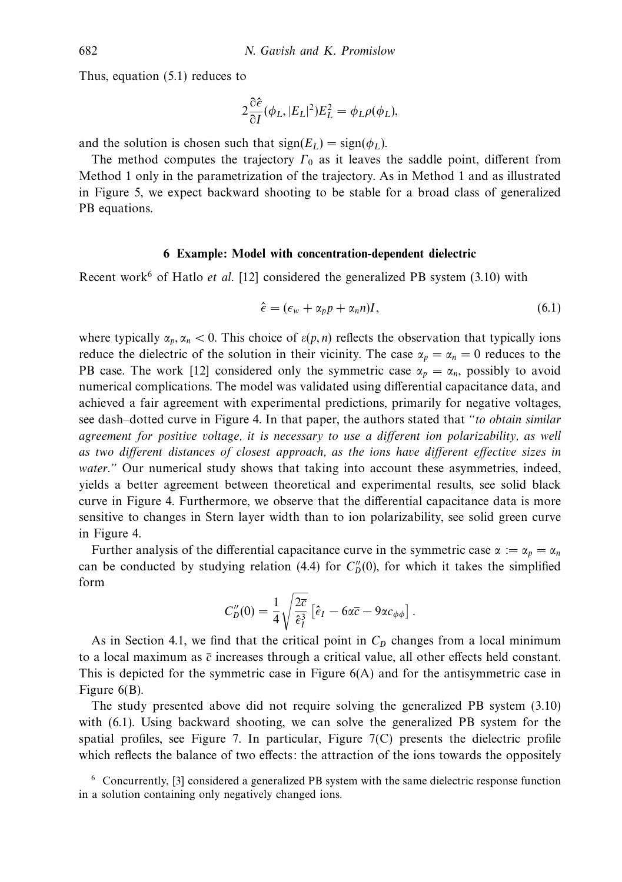Thus, equation (5.1) reduces to

$$
2\frac{\partial \hat{\epsilon}}{\partial I}(\phi_L, |E_L|^2)E_L^2 = \phi_L \rho(\phi_L),
$$

and the solution is chosen such that  $sign(E_L) = sign(\phi_L)$ .

The method computes the trajectory  $\Gamma_0$  as it leaves the saddle point, different from Method 1 only in the parametrization of the trajectory. As in Method 1 and as illustrated in Figure 5, we expect backward shooting to be stable for a broad class of generalized PB equations.

#### 6 Example: Model with concentration-dependent dielectric

Recent work<sup>6</sup> of Hatlo et al. [12] considered the generalized PB system  $(3.10)$  with

$$
\hat{\epsilon} = (\epsilon_w + \alpha_p p + \alpha_n n)I, \qquad (6.1)
$$

where typically  $\alpha_p, \alpha_n < 0$ . This choice of  $\varepsilon(p, n)$  reflects the observation that typically ions reduce the dielectric of the solution in their vicinity. The case  $\alpha_p = \alpha_n = 0$  reduces to the PB case. The work [12] considered only the symmetric case  $\alpha_p = \alpha_n$ , possibly to avoid numerical complications. The model was validated using differential capacitance data, and achieved a fair agreement with experimental predictions, primarily for negative voltages, see dash-dotted curve in Figure 4. In that paper, the authors stated that "to obtain similar agreement for positive voltage, it is necessary to use a different ion polarizability, as well as two different distances of closest approach, as the ions have different effective sizes in water." Our numerical study shows that taking into account these asymmetries, indeed, yields a better agreement between theoretical and experimental results, see solid black curve in Figure 4. Furthermore, we observe that the differential capacitance data is more sensitive to changes in Stern layer width than to ion polarizability, see solid green curve in Figure 4.

Further analysis of the differential capacitance curve in the symmetric case  $\alpha := \alpha_p = \alpha_n$ can be conducted by studying relation  $(4.4)$  for  $C''_D(0)$ , for which it takes the simplified form

$$
C''_D(0) = \frac{1}{4} \sqrt{\frac{2\overline{c}}{\hat{\epsilon}_I^3}} \left[ \hat{\epsilon}_I - 6\alpha \overline{c} - 9\alpha c_{\phi\phi} \right].
$$

As in Section 4.1, we find that the critical point in  $C<sub>D</sub>$  changes from a local minimum to a local maximum as  $\bar{c}$  increases through a critical value, all other effects held constant. This is depicted for the symmetric case in Figure  $6(A)$  and for the antisymmetric case in Figure 6(B).

The study presented above did not require solving the generalized PB system (3.10) with (6.1). Using backward shooting, we can solve the generalized PB system for the spatial profiles, see Figure 7. In particular, Figure  $7(C)$  presents the dielectric profile which reflects the balance of two effects: the attraction of the ions towards the oppositely

<sup>6</sup> Concurrently, [3] considered a generalized PB system with the same dielectric response function in a solution containing only negatively changed ions.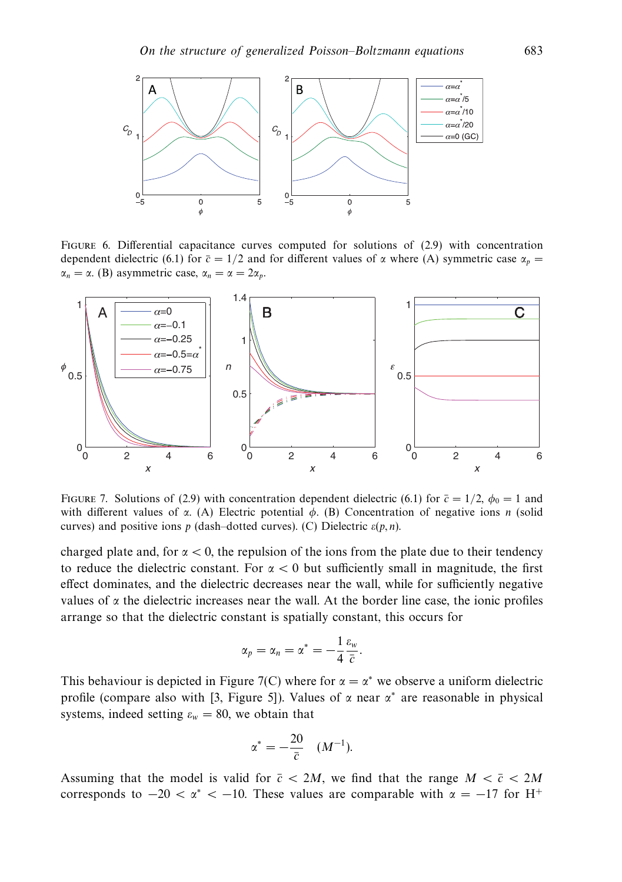

FIGURE 6. Differential capacitance curves computed for solutions of (2.9) with concentration dependent dielectric (6.1) for  $\bar{c} = 1/2$  and for different values of  $\alpha$  where (A) symmetric case  $\alpha_p =$  $\alpha_n = \alpha$ . (B) asymmetric case,  $\alpha_n = \alpha = 2\alpha_p$ .



FIGURE 7. Solutions of (2.9) with concentration dependent dielectric (6.1) for  $\bar{c} = 1/2$ ,  $\phi_0 = 1$  and with different values of  $\alpha$ . (A) Electric potential  $\phi$ . (B) Concentration of negative ions *n* (solid curves) and positive ions *p* (dash–dotted curves). (C) Dielectric ε(*p, n*).

charged plate and, for  $\alpha < 0$ , the repulsion of the ions from the plate due to their tendency to reduce the dielectric constant. For  $\alpha < 0$  but sufficiently small in magnitude, the first effect dominates, and the dielectric decreases near the wall, while for sufficiently negative values of  $\alpha$  the dielectric increases near the wall. At the border line case, the ionic profiles arrange so that the dielectric constant is spatially constant, this occurs for

$$
\alpha_p=\alpha_n=\alpha^*=-\frac{1}{4}\frac{\varepsilon_w}{\bar{c}}.
$$

This behaviour is depicted in Figure 7(C) where for  $\alpha = \alpha^*$  we observe a uniform dielectric profile (compare also with [3, Figure 5]). Values of  $\alpha$  near  $\alpha^*$  are reasonable in physical systems, indeed setting  $\varepsilon_w = 80$ , we obtain that

$$
\alpha^* = -\frac{20}{\bar{c}} \quad (M^{-1}).
$$

Assuming that the model is valid for  $\bar{c}$  < 2*M*, we find that the range  $M < \bar{c} < 2M$ corresponds to  $-20 < \alpha^* < -10$ . These values are comparable with  $\alpha = -17$  for H<sup>+</sup>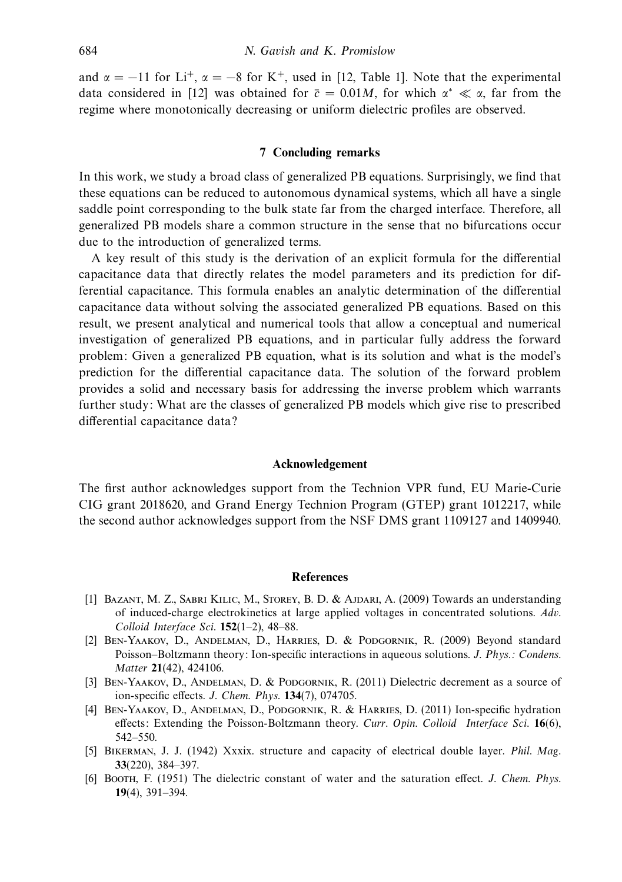and  $\alpha = -11$  for Li<sup>+</sup>,  $\alpha = -8$  for K<sup>+</sup>, used in [12, Table 1]. Note that the experimental data considered in [12] was obtained for  $\bar{c} = 0.01M$ , for which  $\alpha^* \ll \alpha$ , far from the regime where monotonically decreasing or uniform dielectric profiles are observed.

# 7 Concluding remarks

In this work, we study a broad class of generalized PB equations. Surprisingly, we find that these equations can be reduced to autonomous dynamical systems, which all have a single saddle point corresponding to the bulk state far from the charged interface. Therefore, all generalized PB models share a common structure in the sense that no bifurcations occur due to the introduction of generalized terms.

A key result of this study is the derivation of an explicit formula for the differential capacitance data that directly relates the model parameters and its prediction for differential capacitance. This formula enables an analytic determination of the differential capacitance data without solving the associated generalized PB equations. Based on this result, we present analytical and numerical tools that allow a conceptual and numerical investigation of generalized PB equations, and in particular fully address the forward problem: Given a generalized PB equation, what is its solution and what is the model's prediction for the differential capacitance data. The solution of the forward problem provides a solid and necessary basis for addressing the inverse problem which warrants further study: What are the classes of generalized PB models which give rise to prescribed differential capacitance data?

#### Acknowledgement

The first author acknowledges support from the Technion VPR fund, EU Marie-Curie CIG grant 2018620, and Grand Energy Technion Program (GTEP) grant 1012217, while the second author acknowledges support from the NSF DMS grant 1109127 and 1409940.

# References

- [1] Bazant, M. Z., Sabri Kilic, M., Storey, B. D. & Ajdari, A. (2009) Towards an understanding of induced-charge electrokinetics at large applied voltages in concentrated solutions. Adv. Colloid Interface Sci.  $152(1-2)$ , 48-88.
- [2] Ben-Yaakov, D., Andelman, D., Harries, D. & Podgornik, R. (2009) Beyond standard Poisson–Boltzmann theory: Ion-specific interactions in aqueous solutions. J. Phys.: Condens. Matter 21(42), 424106.
- [3] BEN-YAAKOV, D., ANDELMAN, D. & PODGORNIK, R. (2011) Dielectric decrement as a source of ion-specific effects. J. Chem. Phys. 134(7), 074705.
- [4] Ben-Yaakov, D., Andelman, D., Podgornik, R. & Harries, D. (2011) Ion-specific hydration effects: Extending the Poisson-Boltzmann theory. Curr. Opin. Colloid Interface Sci. 16(6), 542–550.
- [5] Bikerman, J. J. (1942) Xxxix. structure and capacity of electrical double layer. Phil. Mag. 33(220), 384–397.
- [6] Booth, F. (1951) The dielectric constant of water and the saturation effect. J. Chem. Phys. 19(4), 391–394.